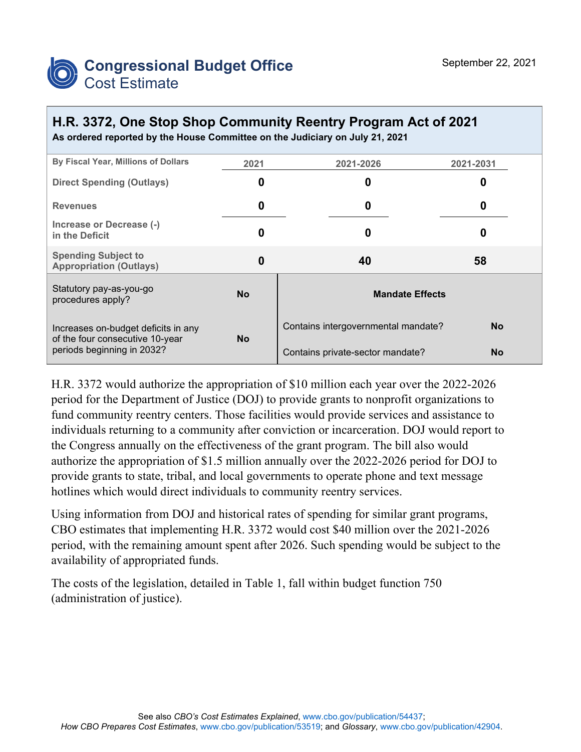

## **H.R. 3372, One Stop Shop Community Reentry Program Act of 2021**

|  |  |  | As ordered reported by the House Committee on the Judiciary on July 21, 2021 |  |
|--|--|--|------------------------------------------------------------------------------|--|
|--|--|--|------------------------------------------------------------------------------|--|

| By Fiscal Year, Millions of Dollars                                    | 2021      | 2021-2026                                        | 2021-2031 |  |
|------------------------------------------------------------------------|-----------|--------------------------------------------------|-----------|--|
| <b>Direct Spending (Outlays)</b>                                       | 0         | 0                                                | O         |  |
| <b>Revenues</b>                                                        | 0         | 0                                                | O         |  |
| Increase or Decrease (-)<br>in the Deficit                             | 0         | 0                                                | O         |  |
| <b>Spending Subject to</b><br><b>Appropriation (Outlays)</b>           | 0         | 40                                               | 58        |  |
| Statutory pay-as-you-go<br>procedures apply?                           | <b>No</b> | <b>Mandate Effects</b>                           |           |  |
| Increases on-budget deficits in any<br>of the four consecutive 10-year | <b>No</b> | Contains intergovernmental mandate?<br><b>No</b> |           |  |
| periods beginning in 2032?                                             |           | Contains private-sector mandate?<br><b>No</b>    |           |  |

H.R. 3372 would authorize the appropriation of \$10 million each year over the 2022-2026 period for the Department of Justice (DOJ) to provide grants to nonprofit organizations to fund community reentry centers. Those facilities would provide services and assistance to individuals returning to a community after conviction or incarceration. DOJ would report to the Congress annually on the effectiveness of the grant program. The bill also would authorize the appropriation of \$1.5 million annually over the 2022-2026 period for DOJ to provide grants to state, tribal, and local governments to operate phone and text message hotlines which would direct individuals to community reentry services.

Using information from DOJ and historical rates of spending for similar grant programs, CBO estimates that implementing H.R. 3372 would cost \$40 million over the 2021-2026 period, with the remaining amount spent after 2026. Such spending would be subject to the availability of appropriated funds.

The costs of the legislation, detailed in Table 1, fall within budget function 750 (administration of justice).